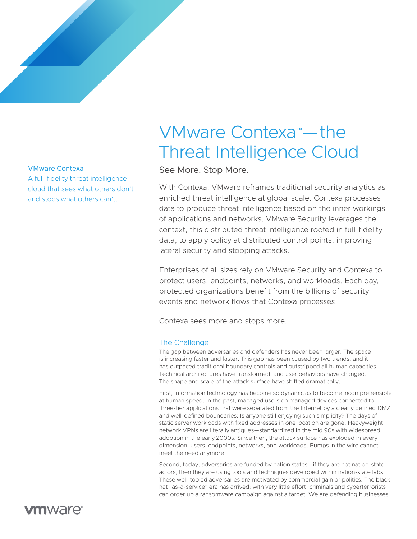A full-fidelity threat intelligence cloud that sees what others don't and stops what others can't.

# VMware Contexa™ — the Threat Intelligence Cloud

VMware Contexa-<br>
See More. Stop More.

With Contexa, VMware reframes traditional security analytics as enriched threat intelligence at global scale. Contexa processes data to produce threat intelligence based on the inner workings of applications and networks. VMware Security leverages the context, this distributed threat intelligence rooted in full-fidelity data, to apply policy at distributed control points, improving lateral security and stopping attacks.

Enterprises of all sizes rely on VMware Security and Contexa to protect users, endpoints, networks, and workloads. Each day, protected organizations benefit from the billions of security events and network flows that Contexa processes.

Contexa sees more and stops more.

### The Challenge

The gap between adversaries and defenders has never been larger. The space is increasing faster and faster. This gap has been caused by two trends, and it has outpaced traditional boundary controls and outstripped all human capacities. Technical architectures have transformed, and user behaviors have changed. The shape and scale of the attack surface have shifted dramatically.

First, information technology has become so dynamic as to become incomprehensible at human speed. In the past, managed users on managed devices connected to three-tier applications that were separated from the Internet by a clearly defined DMZ and well-defined boundaries: Is anyone still enjoying such simplicity? The days of static server workloads with fixed addresses in one location are gone. Heavyweight network VPNs are literally antiques—standardized in the mid 90s with widespread adoption in the early 2000s. Since then, the attack surface has exploded in every dimension: users, endpoints, networks, and workloads. Bumps in the wire cannot meet the need anymore.

Second, today, adversaries are funded by nation states—if they are not nation-state actors, then they are using tools and techniques developed within nation-state labs. These well-tooled adversaries are motivated by commercial gain or politics. The black hat "as-a-service" era has arrived: with very little effort, criminals and cyberterrorists can order up a ransomware campaign against a target. We are defending businesses

## **vm**ware<sup>®</sup>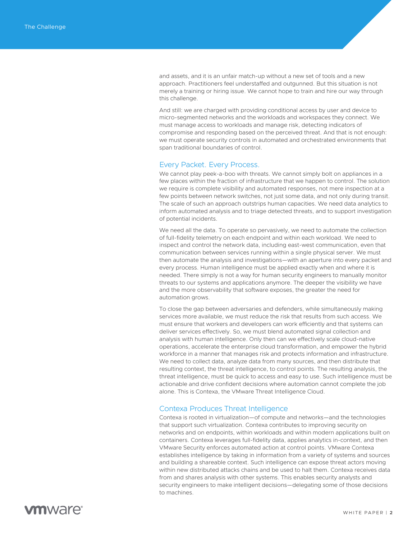and assets, and it is an unfair match-up without a new set of tools and a new approach. Practitioners feel understaffed and outgunned. But this situation is not merely a training or hiring issue. We cannot hope to train and hire our way through this challenge.

And still: we are charged with providing conditional access by user and device to micro-segmented networks and the workloads and workspaces they connect. We must manage access to workloads and manage risk, detecting indicators of compromise and responding based on the perceived threat. And that is not enough: we must operate security controls in automated and orchestrated environments that span traditional boundaries of control.

#### Every Packet. Every Process.

We cannot play peek-a-boo with threats. We cannot simply bolt on appliances in a few places within the fraction of infrastructure that we happen to control. The solution we require is complete visibility and automated responses, not mere inspection at a few points between network switches, not just some data, and not only during transit. The scale of such an approach outstrips human capacities. We need data analytics to inform automated analysis and to triage detected threats, and to support investigation of potential incidents.

We need all the data. To operate so pervasively, we need to automate the collection of full-fidelity telemetry on each endpoint and within each workload. We need to inspect and control the network data, including east-west communication, even that communication between services running within a single physical server. We must then automate the analysis and investigations—with an aperture into every packet and every process. Human intelligence must be applied exactly when and where it is needed. There simply is not a way for human security engineers to manually monitor threats to our systems and applications anymore. The deeper the visibility we have and the more observability that software exposes, the greater the need for automation grows.

To close the gap between adversaries and defenders, while simultaneously making services more available, we must reduce the risk that results from such access. We must ensure that workers and developers can work efficiently and that systems can deliver services effectively. So, we must blend automated signal collection and analysis with human intelligence. Only then can we effectively scale cloud-native operations, accelerate the enterprise cloud transformation, and empower the hybrid workforce in a manner that manages risk and protects information and infrastructure. We need to collect data, analyze data from many sources, and then distribute that resulting context, the threat intelligence, to control points. The resulting analysis, the threat intelligence, must be quick to access and easy to use. Such intelligence must be actionable and drive confident decisions where automation cannot complete the job alone. This is Contexa, the VMware Threat Intelligence Cloud.

#### Contexa Produces Threat Intelligence

Contexa is rooted in virtualization—of compute and networks—and the technologies that support such virtualization. Contexa contributes to improving security on networks and on endpoints, within workloads and within modern applications built on containers. Contexa leverages full-fidelity data, applies analytics in-context, and then VMware Security enforces automated action at control points. VMware Contexa establishes intelligence by taking in information from a variety of systems and sources and building a shareable context. Such intelligence can expose threat actors moving within new distributed attacks chains and be used to halt them. Contexa receives data from and shares analysis with other systems. This enables security analysts and security engineers to make intelligent decisions—delegating some of those decisions to machines.

**vm**ware<sup>®</sup>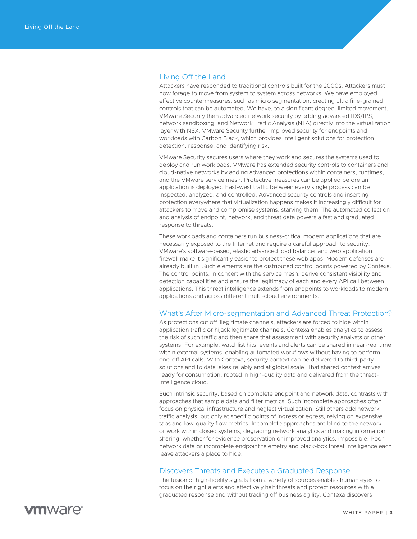### Living Off the Land

Attackers have responded to traditional controls built for the 2000s. Attackers must now forage to move from system to system across networks. We have employed effective countermeasures, such as micro segmentation, creating ultra fine-grained controls that can be automated. We have, to a significant degree, limited movement. VMware Security then advanced network security by adding advanced IDS/IPS, network sandboxing, and Network Traffic Analysis (NTA) directly into the virtualization layer with NSX. VMware Security further improved security for endpoints and workloads with Carbon Black, which provides intelligent solutions for protection, detection, response, and identifying risk.

VMware Security secures users where they work and secures the systems used to deploy and run workloads. VMware has extended security controls to containers and cloud-native networks by adding advanced protections within containers, runtimes, and the VMware service mesh. Protective measures can be applied before an application is deployed. East-west traffic between every single process can be inspected, analyzed, and controlled. Advanced security controls and inserting protection everywhere that virtualization happens makes it increasingly difficult for attackers to move and compromise systems, starving them. The automated collection and analysis of endpoint, network, and threat data powers a fast and graduated response to threats.

These workloads and containers run business-critical modern applications that are necessarily exposed to the Internet and require a careful approach to security. VMware's software-based, elastic advanced load balancer and web application firewall make it significantly easier to protect these web apps. Modern defenses are already built in. Such elements are the distributed control points powered by Contexa. The control points, in concert with the service mesh, derive consistent visibility and detection capabilities and ensure the legitimacy of each and every API call between applications. This threat intelligence extends from endpoints to workloads to modern applications and across different multi-cloud environments.

#### What's After Micro-segmentation and Advanced Threat Protection?

As protections cut off illegitimate channels, attackers are forced to hide within application traffic or hijack legitimate channels. Contexa enables analytics to assess the risk of such traffic and then share that assessment with security analysts or other systems. For example, watchlist hits, events and alerts can be shared in near-real time within external systems, enabling automated workflows without having to perform one-off API calls. With Contexa, security context can be delivered to third-party solutions and to data lakes reliably and at global scale. That shared context arrives ready for consumption, rooted in high-quality data and delivered from the threatintelligence cloud.

Such intrinsic security, based on complete endpoint and network data, contrasts with approaches that sample data and filter metrics. Such incomplete approaches often focus on physical infrastructure and neglect virtualization. Still others add network traffic analysis, but only at specific points of ingress or egress, relying on expensive taps and low-quality flow metrics. Incomplete approaches are blind to the network or work within closed systems, degrading network analytics and making information sharing, whether for evidence preservation or improved analytics, impossible. Poor network data or incomplete endpoint telemetry and black-box threat intelligence each leave attackers a place to hide.

#### Discovers Threats and Executes a Graduated Response

The fusion of high-fidelity signals from a variety of sources enables human eyes to focus on the right alerts and effectively halt threats and protect resources with a graduated response and without trading off business agility. Contexa discovers

**vm**ware<sup>®</sup>